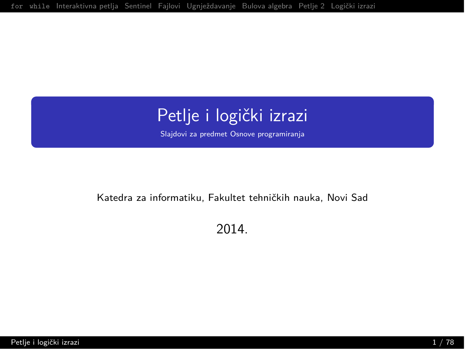## <span id="page-0-0"></span>Petlje i logički izrazi

Slajdovi za predmet Osnove programiranja

#### Katedra za informatiku, Fakultet tehničkih nauka, Novi Sad

2014.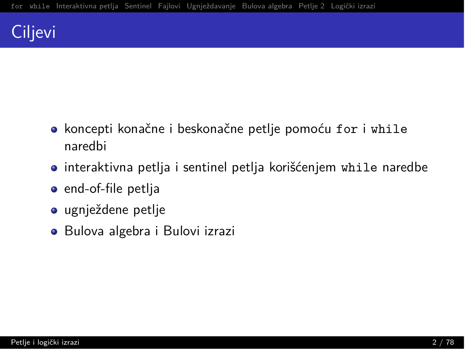## Ciljevi

- · koncepti konačne i beskonačne petlje pomoću for i while naredbi
- $\bullet$  interaktivna petlja i sentinel petlja korišćenjem while naredbe
- $\bullet$  end-of-file petlja
- ugnježdene petlje
- $\bullet$  Bulova algebra i Bulovi izrazi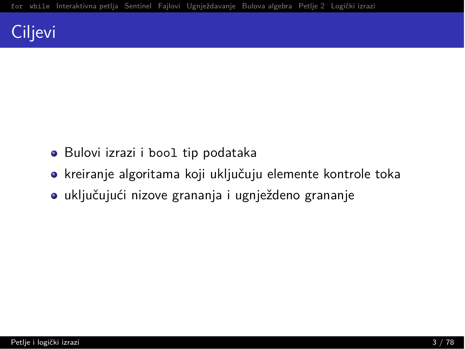## Ciljevi

- · Bulovi izrazi i bool tip podataka
- kreiranje algoritama koji uključuju elemente kontrole toka
- · uključujući nizove grananja i ugnježdeno grananje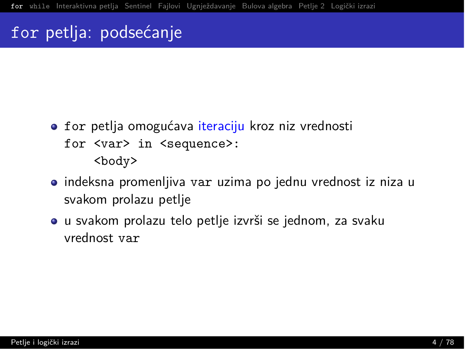#### <span id="page-3-0"></span>for petlja: podsećanje

- for petlja omogućava iteraciju kroz niz vrednosti for <var> in <sequence>: <body>
- · indeksna promenljiva var uzima po jednu vrednost iz niza u svakom prolazu petlje
- · u svakom prolazu telo petlje izvrši se jednom, za svaku vrednost var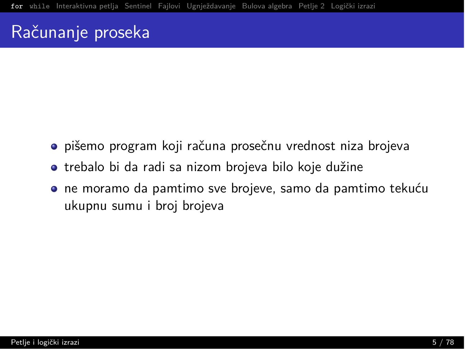#### Računanje proseka

- · pišemo program koji računa prosečnu vrednost niza brojeva
- · trebalo bi da radi sa nizom brojeva bilo koje dužine
- · ne moramo da pamtimo sve brojeve, samo da pamtimo tekuću ukupnu sumu i broj brojeva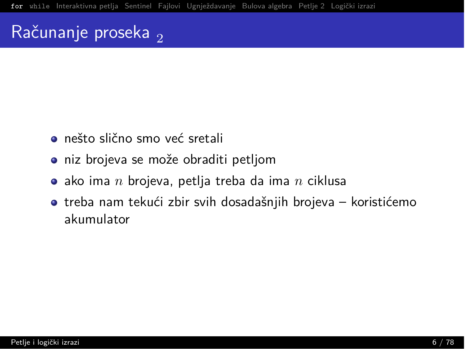#### Računanje proseka,

- · nešto slično smo već sretali
- niz brojeva se može obraditi petljom
- $\bullet$  ako ima  $n$  brojeva, petlja treba da ima  $n$  ciklusa
- $\bullet$  treba nam tekući zbir svih dosadašnjih brojeva koristićemo akumulator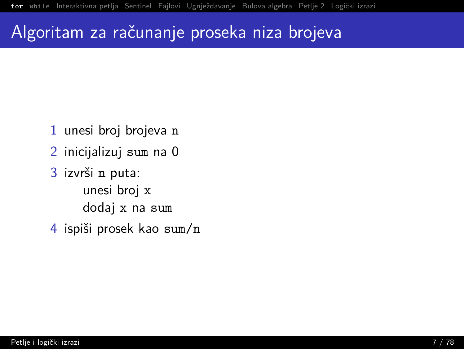#### Algoritam za računanje proseka niza brojeva

- 1 unesi broj brojeva n
- 2 inicijalizuj sum na 0
- 3 izvrši n puta: unesi broi x dodaj x na sum
- 4 ispiši prosek kao sum/n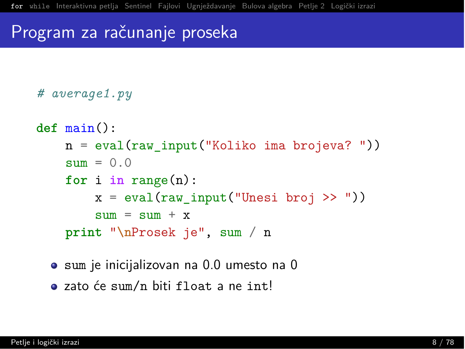## Program za računanje proseka

```
# average1.py
```

```
def \ main():
   n = eval(raw input("Koliko ima brojeva?"))sum = 0.0for i in range(n):
        x = eval(raw input("Unesi broj >>"))sum = sum + xprint "\nProsek je", sum / n
```
- · sum je inicijalizovan na 0.0 umesto na 0
- · zato će sum/n biti float a ne int!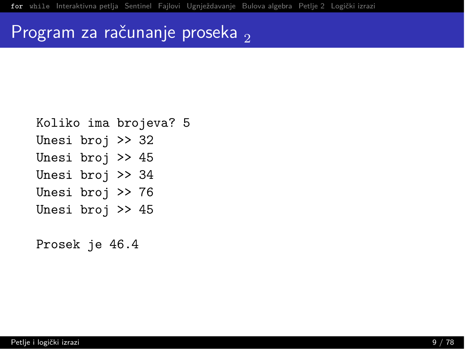## Program za računanje proseka,

- Koliko ima brojeva? 5
- Unesi broj  $>$  32
- Unesi broj  $>$  45
- Unesi broj >> 34
- Unesi broj >> 76
- Unesi broj >> 45

Prosek je 46.4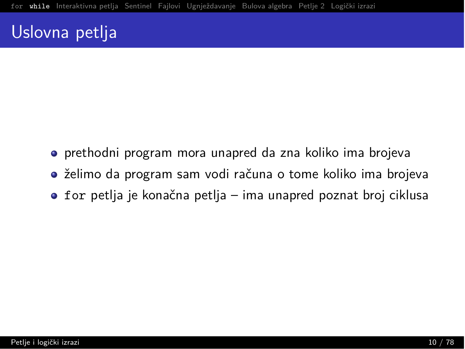#### <span id="page-9-0"></span>Uslovna petlja

- prethodni program mora unapred da zna koliko ima brojeva
- $\bullet$  želimo da program sam vodi računa o tome koliko ima brojeva
- $\bullet$  for petlja je konačna petlja ima unapred poznat broj ciklusa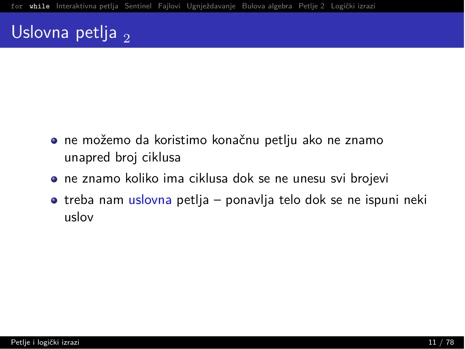## Uslovna petlja  $\sigma$

- $\bullet$  ne možemo da koristimo konačnu petlju ako ne znamo unapred broj ciklusa
- $\bullet$  ne znamo koliko ima ciklusa dok se ne unesu svi brojevi
- treba nam uslovna petlja ponavlja telo dok se ne ispuni neki  $n$ slov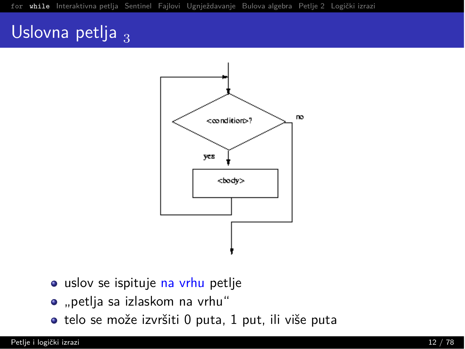## Uslovna petlja  $_3$



- · uslov se ispituje na vrhu petlje
- · "petlja sa izlaskom na vrhu"
- · telo se može izvršiti 0 puta, 1 put, ili više puta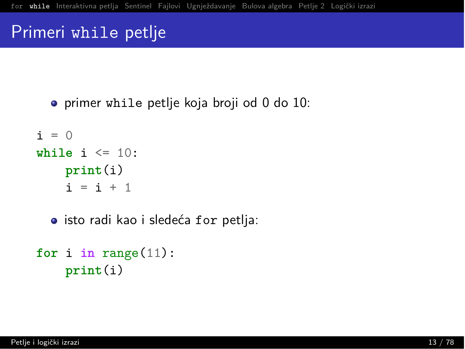#### Primeri while petlje

• primer while petlie koja broji od 0 do 10:

```
i = 0while i \leq 10:
    print(i)i = i + 1
```
• isto radi kao i sledeća for petlja:

```
for i in range(11):
    print(i)
```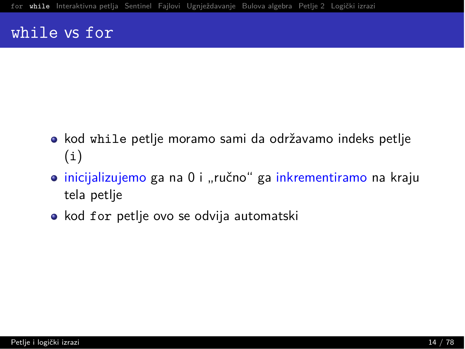#### while vs for

- kod while petlje moramo sami da održavamo indeks petlje  $(i)$
- · inicijalizujemo ga na 0 i "ručno" ga inkrementiramo na kraju tela petlje
- · kod for petlje ovo se odvija automatski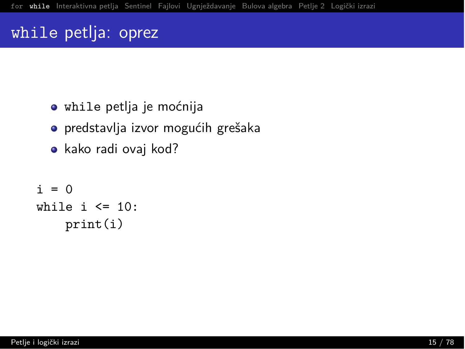#### while petlja: oprez

- · while petlja je moćnija
- predstavlja izvor mogućih grešaka
- $\bullet$  kako radi ovaj kod?

```
i = 0while i \leq 10:
    print(i)
```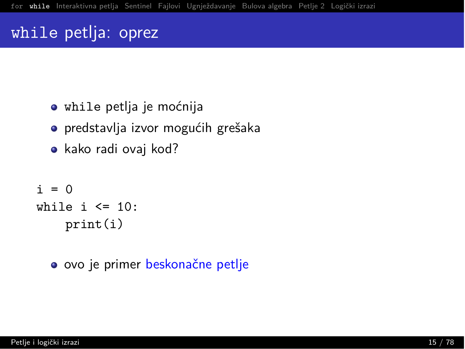#### while petlja: oprez

- · while petlia je moćnija
- predstavlja izvor mogućih grešaka
- $\bullet$  kako radi ovaj kod?

```
i = 0while i \leq 10:
    print(i)
```
• ovo je primer beskonačne petlje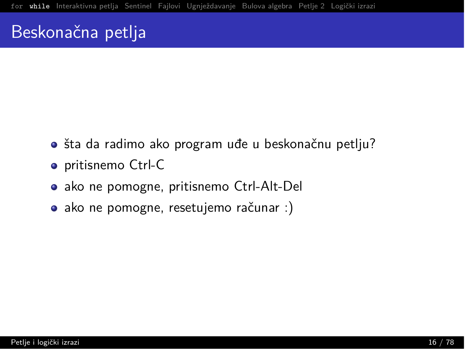#### Beskonačna petlja

- · šta da radimo ako program uđe u beskonačnu petlju?
- · pritisnemo Ctrl-C
- ako ne pomogne, pritisnemo Ctrl-Alt-Del
- ako ne pomogne, resetujemo računar :)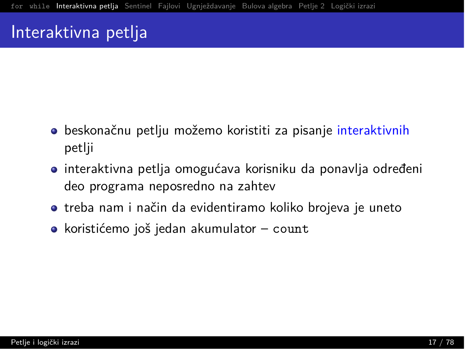- <span id="page-17-0"></span> $\bullet$  beskonačnu petlju možemo koristiti za pisanje interaktivnih petlji
- $\bullet$  interaktivna petlja omogućava korisniku da ponavlja određeni deo programa neposredno na zahtev
- $\bullet$  treba nam i način da evidentiramo koliko brojeva je uneto
- $\bullet$  koristićemo još jedan akumulator count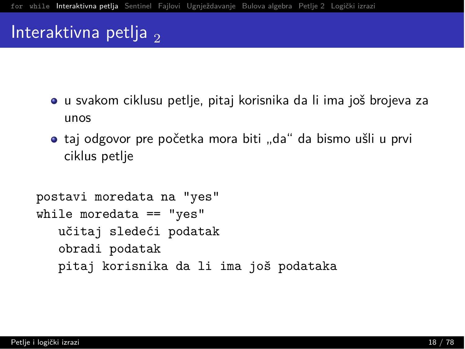- u svakom ciklusu petlje, pitaj korisnika da li ima još brojeva za  $\text{unos}$
- $\bullet$  taj odgovor pre početka mora biti "da" da bismo ušli u prvi ciklus petlje

```
postavi moredata na "yes"
while moredata == "yes"
   učitaj sledeći podatak
   obradi podatak
   pitaj korisnika da li ima još podataka
```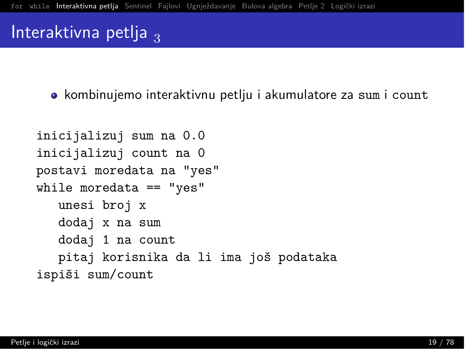• kombinujemo interaktivnu petlju i akumulatore za sum i count

```
inicijalizuj sum na 0.0
inicijalizuj count na 0
postavi moredata na "yes"
while moredata == "yes"
   unesi broj x
   dodaj x na sum
   dodaj 1 na count
   pitaj korisnika da li ima još podataka
ispiši sum/count
```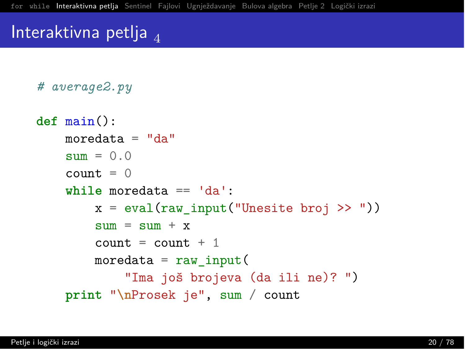# average2.py

```
def \min():
   moredata = "da"sum = 0.0count = 0while moredata == 'da':
        x = eval(raw input("Unesite broj >> "))sum = sum + xcount = count + 1moredata = raw input("Ima još brojeva (da ili ne)? ")
   print "\nProsek je", sum / count
```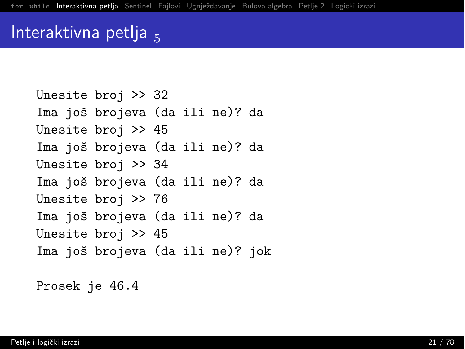```
Unesite broj > 32
Ima još brojeva (da ili ne)? da
Unesite broj > 45
Ima još brojeva (da ili ne)? da
Unesite broj > 34
Ima još brojeva (da ili ne)? da
Unesite broj > 76
Ima još brojeva (da ili ne)? da
Unesite broj > 45
Ima još brojeva (da ili ne)? jok
```
Prosek je 46.4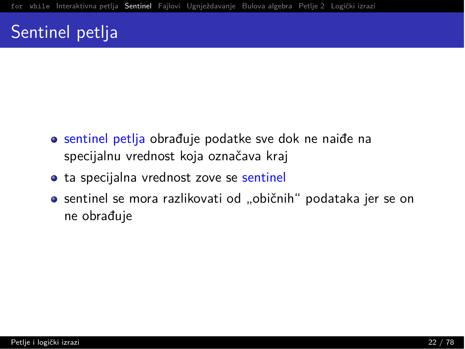## <span id="page-22-0"></span>Sentinel petlja

- o sentinel petlja obrađuje podatke sve dok ne naiđe na specijalnu vrednost koja označava kraj
- ta specijalna vrednost zove se sentinel
- $\bullet$  sentinel se mora razlikovati od "običnih" podataka jer se on ne obrađuje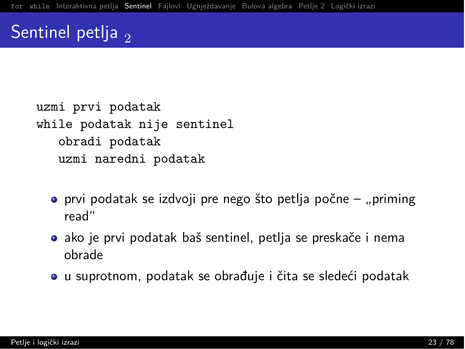## Sentinel petlja  $\overline{2}$

```
uzmi prvi podatak
while podatak nije sentinel
   obradi podatak
   uzmi naredni podatak
```
- $\bullet$  prvi podatak se izdvoji pre nego što petlja počne "priming read"
- $\bullet$  ako je prvi podatak baš sentinel, petlja se preskače i nema obrade
- $\bullet$  u suprotnom, podatak se obrađuje i čita se sledeći podatak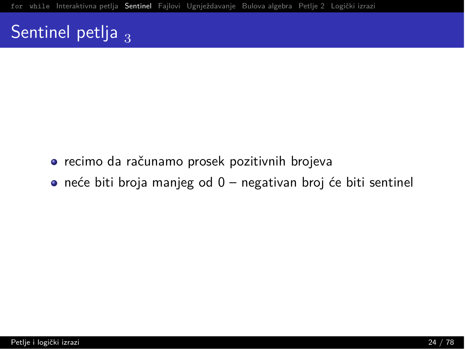## Sentinel petlja  $_3$

- · recimo da računamo prosek pozitivnih brojeva
- $\bullet$  neće biti broja manjeg od 0 negativan broj će biti sentinel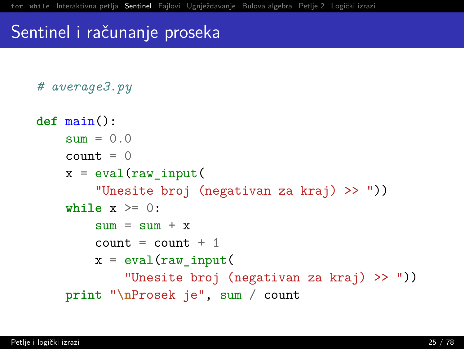#### Sentinel i računanje proseka

```
# average3.py
def \ main():
    slim = 0.0count = 0x = eval(raw input)"Unesite broj (negativan za kraj) >> "))
    while x \ge 0:
        slim = slim + xcount = count + 1x = eval(raw input)"Unesite broj (negativan za kraj) >> "))
    print "\nProsek je", sum / count
```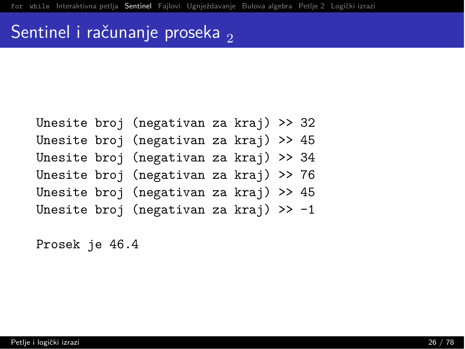## Sentinel i računanje proseka <sub>21</sub>

|  | Unesite broj (negativan za kraj) >> 32 |  |  |
|--|----------------------------------------|--|--|
|  | Unesite broj (negativan za kraj) >> 45 |  |  |
|  | Unesite broj (negativan za kraj) >> 34 |  |  |
|  | Unesite broj (negativan za kraj) >> 76 |  |  |
|  | Unesite broj (negativan za kraj) >> 45 |  |  |
|  | Unesite broj (negativan za kraj) >> -1 |  |  |

Prosek je 46.4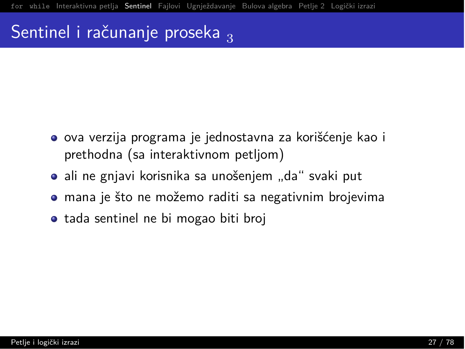## Sentinel i računanje proseka  $\frac{1}{3}$

- $\bullet$  ova verzija programa je jednostavna za korišćenje kao i prethodna (sa interaktivnom petljom)
- ali ne gnjavi korisnika sa unošenjem "da" svaki put
- $\bullet$  mana je što ne možemo raditi sa negativnim brojevima
- tada sentinel ne bi mogao biti broj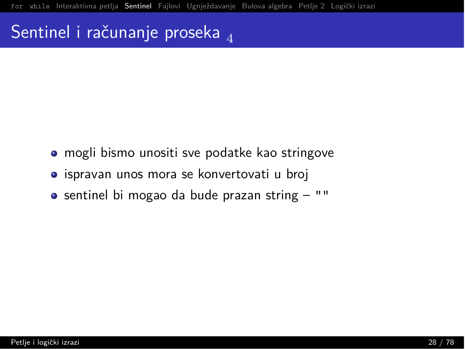## Sentinel i računanje proseka  $_A$

- mogli bismo unositi sve podatke kao stringove
- $\bullet$  ispravan unos mora se konvertovati u broj
- $\bullet$  sentinel bi mogao da bude prazan string  $-$  ""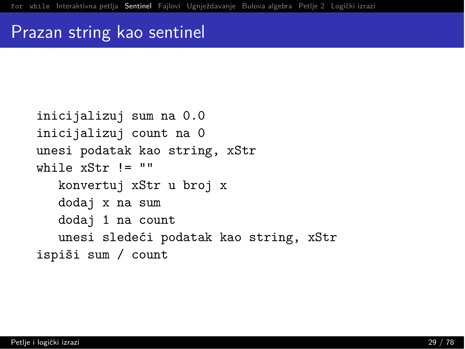#### Prazan string kao sentinel

```
inicijalizuj sum na 0.0
inicijalizuj count na 0
unesi podatak kao string, xStr
while xStr != ""
  konvertuj xStr u broj x
   dodaj x na sum
   dodaj 1 na count
   unesi sledeći podatak kao string, xStr
ispiši sum / count
```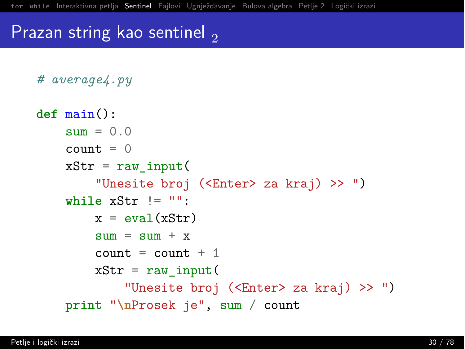#### Prazan string kao sentinel,

```
# average4.py
def \ main():
    slim = 0.0count = 0xStr = raw input("Unesite broj (<Enter> za kraj) >> ")
    while xStr := "":
        x = eval(xStr)sum = sum + xcount = count + 1xStr = raw input("Unesite broj (<Enter> za kraj) >> ")
    print "\nProsek je", sum / count
```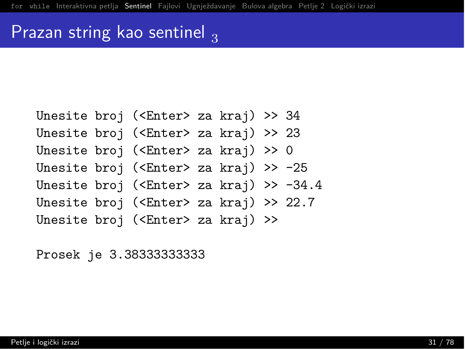#### Prazan string kao sentinel  $\frac{1}{3}$

Unesite broj (<Enter> za kraj) >> 34 Unesite broj (<Enter> za kraj) >> 23 Unesite broj (<Enter> za kraj) >> 0 Unesite broj (<Enter> za kraj) >>  $-25$ Unesite broj (<Enter> za kraj) >>  $-34.4$ Unesite broj (<Enter> za kraj) >> 22.7 Unesite broj (<Enter> za kraj) >>

Prosek je 3.3833333333333333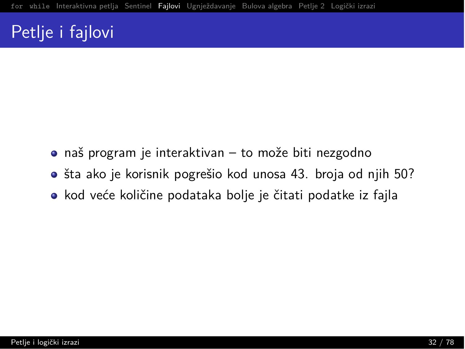## <span id="page-32-0"></span>Petlje i fajlovi

- $\bullet$  naš program je interaktivan to može biti nezgodno
- $\bullet$  šta ako je korisnik pogrešio kod unosa 43. broja od njih 50?
- kod veće količine podataka bolje je čitati podatke iz fajla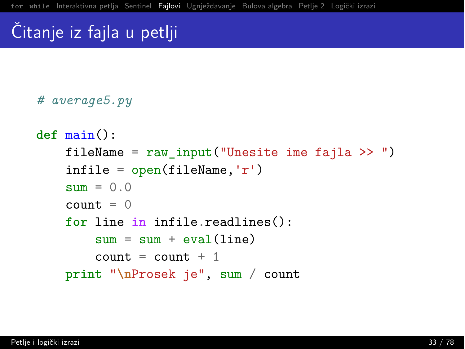# Citanje iz fajla u petlji

```
# average5.py
def \, main():fileName = raw input("Unesite ime faila >>")\inf i = \text{open}(fileName, 'r')\text{sum} = 0.0count = 0for line in infile.readlines():
        sum = sum + eval(line)count = count + 1print "\nProsek je", sum / count
```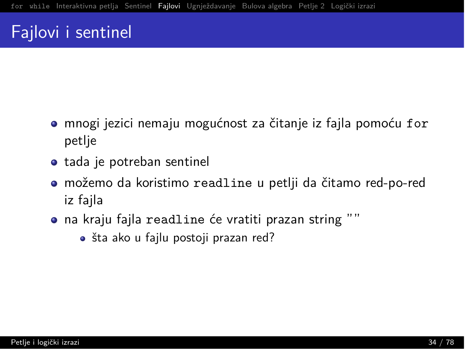#### Fajlovi i sentinel

- mnogi jezici nemaju mogućnost za čitanje iz fajla pomoću for petlje
- tada je potreban sentinel
- · možemo da koristimo readline u petlji da čitamo red-po-red iz fajla
- · na kraju fajla readline će vratiti prazan string ""
	- · šta ako u fajlu postoji prazan red?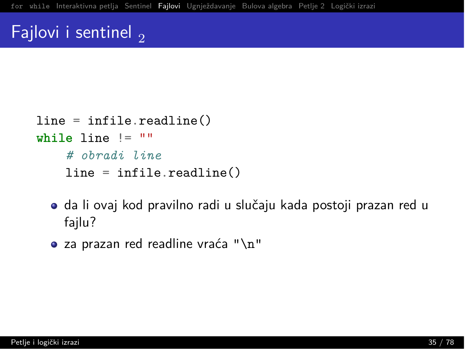#### Fajlovi i sentinel  $\overline{2}$

```
line = infile.readline()while line != ""
    # obradi line
   line = infile.readline()
```
- · da li ovaj kod pravilno radi u slučaju kada postoji prazan red u fajlu?
- za prazan red readline vraća " $\n\cdot$ n"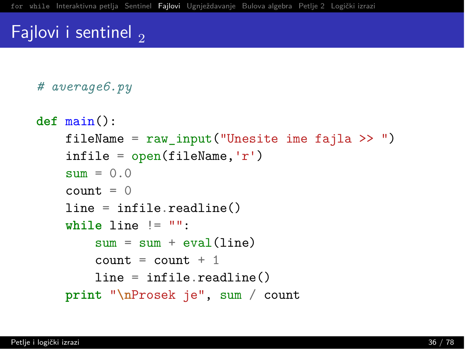#### Fajlovi i sentinel,

```
# average6.py
```

```
def \min():
    fileName = raw input("Unesite ime faila >>")\inf i = \text{open}(fileName, 'r')sum = 0.0count = 0line = infile.readline()while line != "":
        sum = sum + eval(line)count = count + 1line = infile.readline()print "\nProsek je", sum / count
```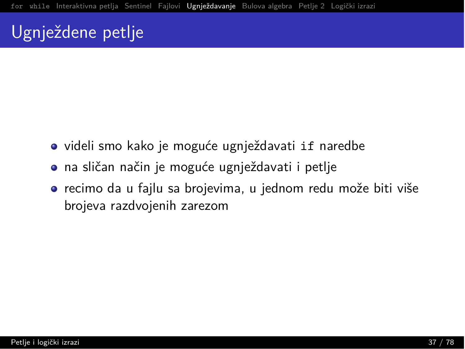## <span id="page-37-0"></span><u>Ugnj</u>eždene petlje

- videli smo kako je moguće ugnježdavati if naredbe
- $\bullet$  na sličan način je moguće ugnježdavati i petlje
- $\bullet$  recimo da u fajlu sa brojevima, u jednom redu može biti više brojeva razdvojenih zarezom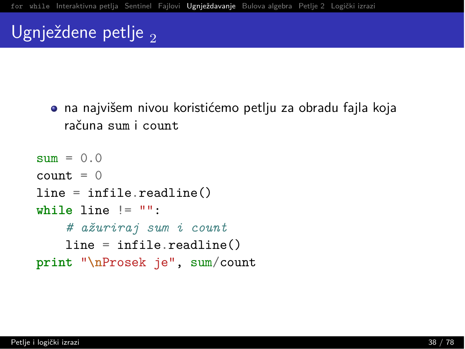# Ugnježdene petlje,

· na najvišem nivou koristićemo petlju za obradu fajla koja računa sum i count

```
sum = 0.0count = 0line = infile.readline()while line != "":
    # ažuriraj sum i count
   line = infile readline()print "\nProsek je", sum/count
```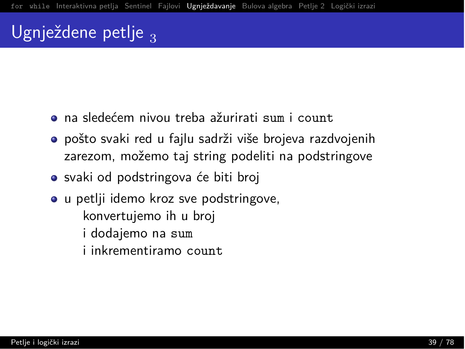# Ugnježdene petlje <sub>3</sub>

- $\bullet$  na sledećem nivou treba ažurirati sum i count.
- $\bullet$  pošto svaki red u fajlu sadrži više brojeva razdvojenih zarezom, možemo taj string podeliti na podstringove
- svaki od podstringova će biti broj
- u petlji idemo kroz sve podstringove, konvertujemo ih u broj i dodajemo na sum i inkrementiramo count.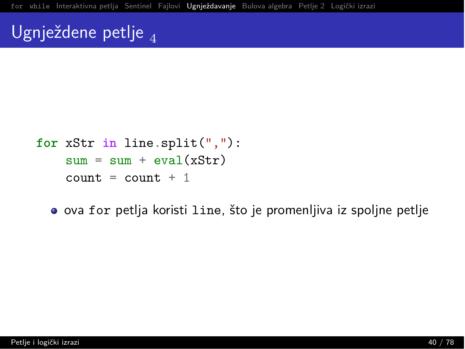## Ugnježdene petlje <sub>41</sub>

```
for xStr in line.split(","):sum = sum + eval(xStr)count = count + 1
```
• ova for petlja koristi line, što je promenljiva iz spoljne petlje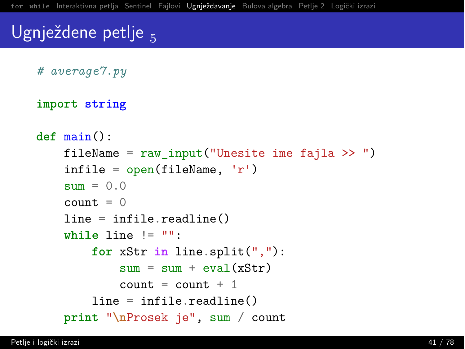## Ugnježdene petlje

```
# average7.py
```

```
import string
```

```
def \, main():
    fileName = raw input ("Unesite ime fajla >> ")
    \text{infile} = \text{open}(\text{fileName}, 'r')sum = 0.0count = 0line = infile.readline()while line != "":
        for xStr in line.split(","):sum = sum + eval(xStr)count = count + 1line = infile.readline()print "\nProsek je", sum / count
```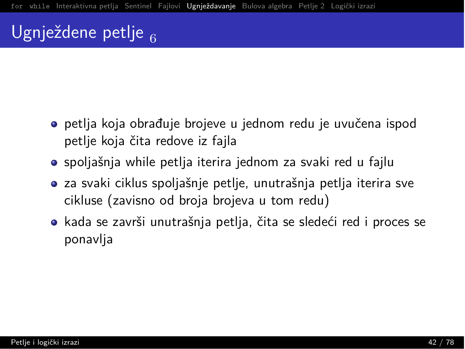# Ugnježdene petlje  $_{\rm g}$

- $\bullet$  petlja koja obrađuje brojeve u jednom redu je uvučena ispod petlje koja čita redove iz fajla
- $\bullet$  spoljašnja while petlja iterira jednom za svaki red u fajlu
- $\bullet$  za svaki ciklus spoljašnje petlje, unutrašnja petlja iterira sve cikluse (zavisno od broja brojeva u tom redu)
- $\bullet$  kada se završi unutrašnja petlja, čita se sledeći red i proces se ponavlja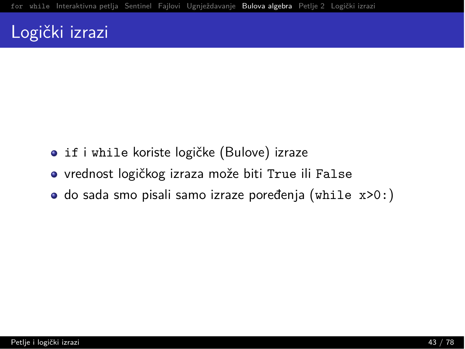#### <span id="page-43-0"></span>Logički izrazi

- · if i while koriste logičke (Bulove) izraze
- vrednost logičkog izraza može biti True ili False
- · do sada smo pisali samo izraze poređenja (while x>0:)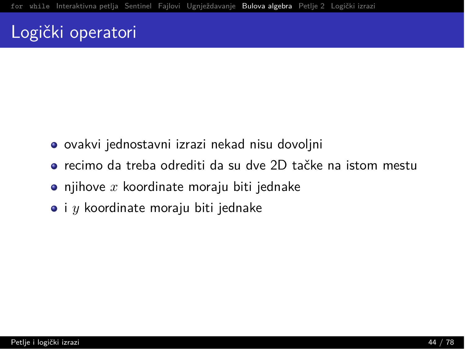### Logički operatori

- ovakvi jednostavni izrazi nekad nisu dovoljni
- o recimo da treba odrediti da su dve 2D tačke na istom mestu
- $\bullet$  njihove  $x$  koordinate moraju biti jednake
- $\bullet$  i  $y$  koordinate moraju biti jednake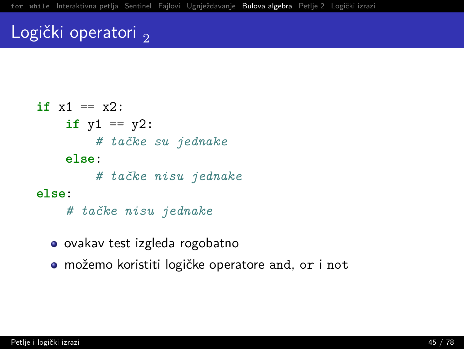### Logički operatori,

```
if x1 == x2:
    if v1 == v2:
        # tačke su jednake
    else:
        # tačke nisu jednake
else:
    # tačke nisu jednake
```
- ovakav test izgleda rogobatno
- · možemo koristiti logičke operatore and, or i not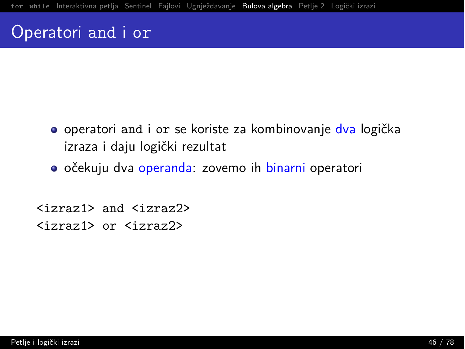#### Operatori and i or

- **O** operatori and i or se koriste za kombinovanje dva logička izraza i daju logički rezultat
- **•** očekuju dva operanda: zovemo ih binarni operatori

 $\langle$ izraz $\langle$  and  $\langle$ izraz $\rangle$  $\langle$ izraz $\frac{1}{2}$  or  $\langle$ izraz $\frac{2}{2}$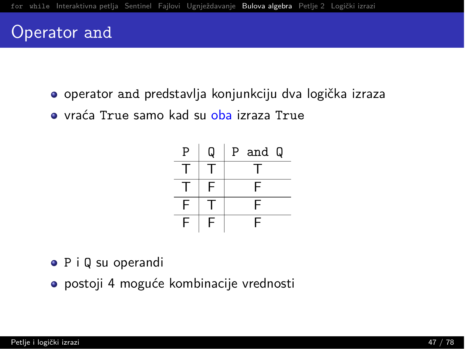#### Operator and

- o operator and predstavlja konjunkciju dva logička izraza
- · vraća True samo kad su oba izraza True



- $\bullet$  P i Q su operandi
- postoji 4 moguće kombinacije vrednosti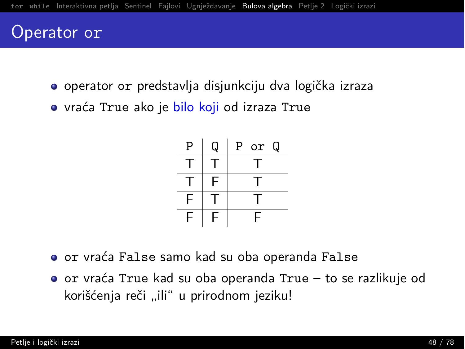#### Operator or

- · operator or predstavlja disjunkciju dva logička izraza
- · vraća True ako je bilo koji od izraza True



- o or vraća False samo kad su oba operanda False
- o or vraća True kad su oba operanda True to se razlikuje od korišćenja reči "ili" u prirodnom jeziku!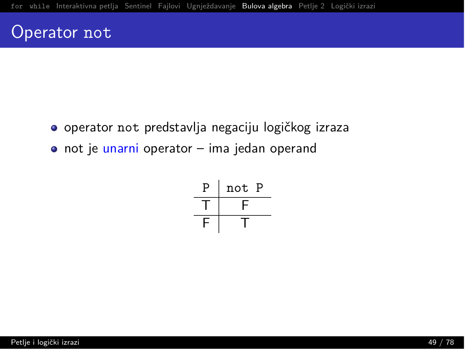#### Operator not

- · operator not predstavlja negaciju logičkog izraza
- · not je unarni operator ima jedan operand

$$
\begin{array}{c|c}\nP & not P \\
\hline\nT & F \\
\hline\nF & T\n\end{array}
$$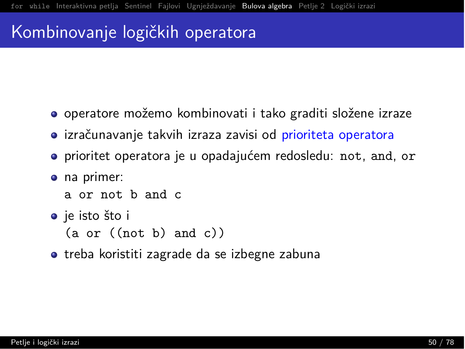#### Kombinovanje logičkih operatora

- $\bullet$  operatore možemo kombinovati i tako graditi složene izraze
- **•** izračunavanje takvih izraza zavisi od prioriteta operatora
- prioritet operatora je u opadajućem redosledu: not, and, or
- $\bullet$  na primer:
	- a or not b and c
- o je isto što i

 $(a \text{ or } ((not b) \text{ and } c))$ 

 $\bullet$  treba koristiti zagrade da se izbegne zabuna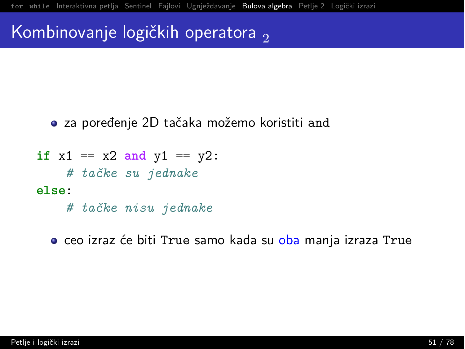#### Kombinovanje logičkih operatora,

- za poređenje 2D tačaka možemo koristiti and
- if  $x1 == x2$  and  $y1 == y2$ : # tačke su jednake  $else:$ 
	- # tačke nisu jednake

• ceo izraz će biti True samo kada su oba manja izraza True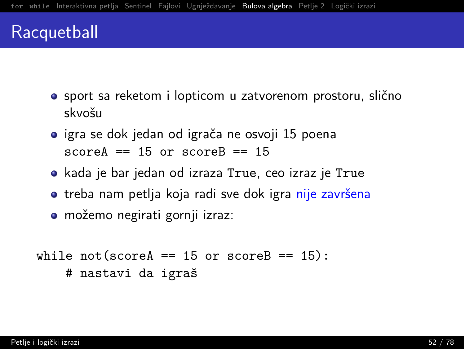#### Racquetball

- $\bullet$  sport sa reketom i lopticom u zatvorenom prostoru, slično skvošu
- $\bullet$  igra se dok jedan od igrača ne osvoji 15 poena  $scoreA == 15$  or  $scoreB == 15$
- kada ie bar jedan od izraza True, ceo izraz je True
- $\bullet$  treba nam petlja koja radi sve dok igra nije završena
- možemo negirati gornji izraz:

```
while not(scoreA == 15 or scoreB == 15):
    # nastavi da igraš
```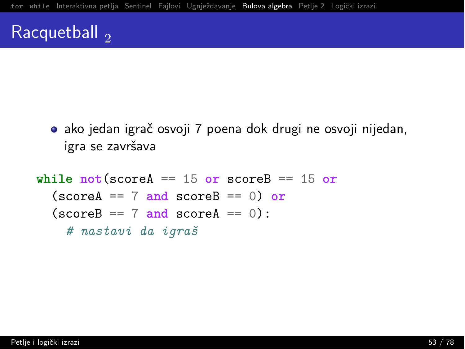### Racquetball  $_2$

· ako jedan igrač osvoji 7 poena dok drugi ne osvoji nijedan, igra se završava

```
while not (scoreA == 15 or scoreB == 15 or
  (\text{scoreA} == 7 \text{ and scoreB} == 0) or
  (\text{scoreB} == 7 \text{ and scoreA} == 0):
     # nastavi da igraš
```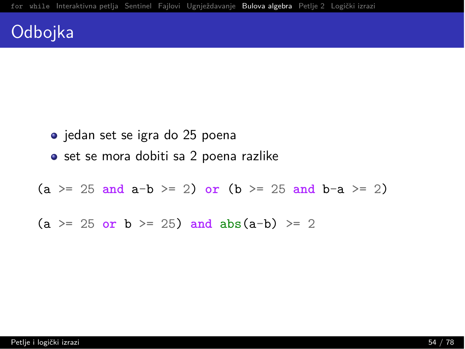### Odbojka

• jedan set se igra do 25 poena • set se mora dobiti sa 2 poena razlike  $(a \ge 25$  and  $a-b \ge 2$  or  $(b \ge 25$  and  $b-a \ge 2)$  $(a \ge 25$  or  $b \ge 25$  and  $abs(a-b) \ge 2$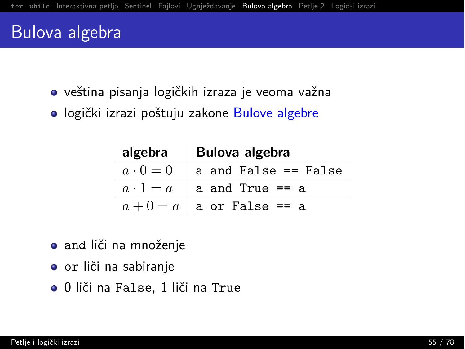#### Bulova algebra

- $\bullet$  veština pisanja logičkih izraza je veoma važna
- $\bullet$  logički izrazi poštuju zakone Bulove algebre

|                 | algebra   Bulova algebra      |
|-----------------|-------------------------------|
| $a\cdot 0=0$    | a and False == False          |
| $a \cdot 1 = a$ | a and True == a               |
|                 | $a + 0 = a$   a or False == a |

- **•** and liči na množenje
- $\bullet$  or liči na sabiranje
- $\bullet$  0 liči na False, 1 liči na True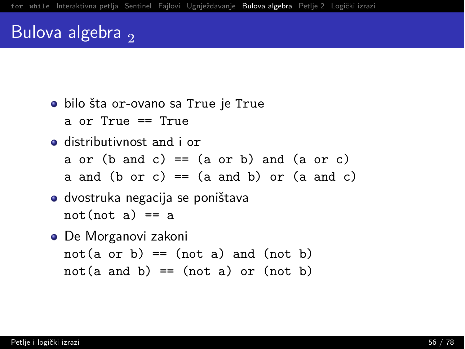### Bulova algebra  $\overline{2}$

- · bilo šta or-ovano sa True je True a or  $True = True$
- $\bullet$  distributivnost and i or
	- a or  $(b \text{ and } c) == (a \text{ or } b)$  and  $(a \text{ or } c)$
	- a and  $(b \text{ or } c) == (a \text{ and } b)$  or  $(a \text{ and } c)$
- $\bullet$  dvostruka negacija se poništava  $not(not a) == a$
- De Morganovi zakoni  $not(a \text{ or } b) == (not a) and (not b)$  $not(a \text{ and } b) == (not a) \text{ or } (not b)$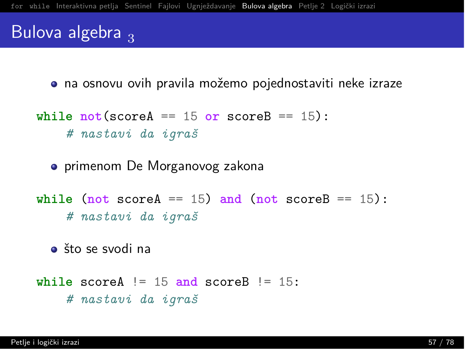#### Bulova algebra  $\frac{1}{3}$

 $\bullet$  na osnovu ovih pravila možemo pojednostaviti neke izraze

```
while not (score A = 15 or score B = 15):
    # nastavi da igraš
```
• primenom De Morganovog zakona

**while** (not scoreA == 15) and (not scoreB == 15):  $#$  nastavi da igraš

 $\bullet$  što se svodi na

```
while scoreA != 15 and scoreB != 15:
    # nastavi da igraš
```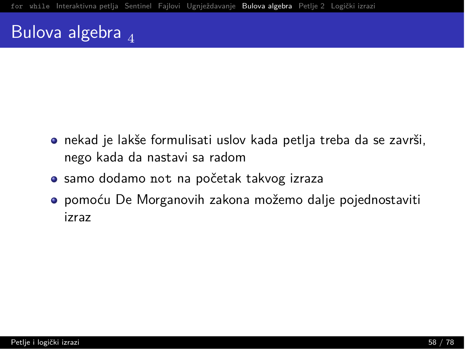## Bulova algebra  $_4$

- · nekad je lakše formulisati uslov kada petlja treba da se završi, nego kada da nastavi sa radom
- · samo dodamo not na početak takvog izraza
- **·** pomoću De Morganovih zakona možemo dalje pojednostaviti izraz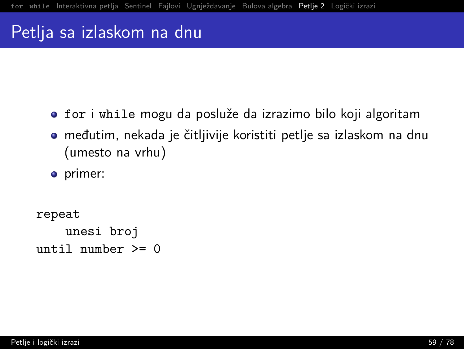#### <span id="page-59-0"></span>Petlja sa izlaskom na dnu

- for i while mogu da posluže da izrazimo bilo koji algoritam
- $\bullet$  međutim, nekada je čitljivije koristiti petlje sa izlaskom na dnu (umesto na vrhu)
- primer:

```
repeat
    unesi broj
until mumber \geq 0
```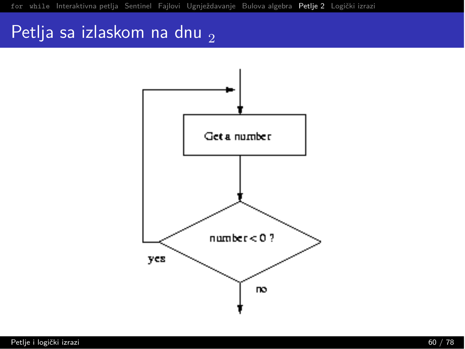## Petlja sa izlaskom na dnu  $_2$

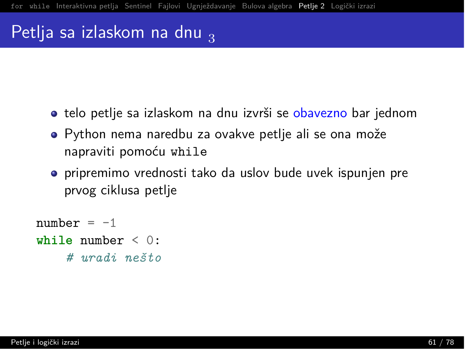### Petlja sa izlaskom na dnu  $\frac{1}{3}$

- **o** telo petlje sa izlaskom na dnu izvrši se obavezno bar jednom
- $\bullet$  Python nema naredbu za ovakve petlje ali se ona može napraviti pomoću while
- $\bullet$  pripremimo vrednosti tako da uslov bude uvek ispunjen pre prvog ciklusa petlie

```
number = -1while number \leq 0:
    O m`/B M2ȊiQ
```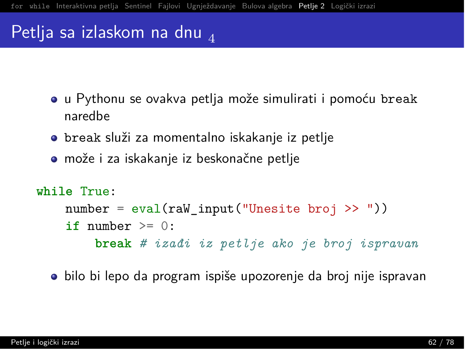### Petlja sa izlaskom na dnu  $_4$

- · u Pythonu se ovakva petlja može simulirati i pomoću break naredhe
- · break služi za momentalno iskakanje iz petlje
- može i za iskakanje iz beskonačne petlje

```
while True:
    number = eval(raw_input("Unesite broj >>"))if number \geq 0:
        break # izadi iz petlje ako je broj ispravan
```
· bilo bi lepo da program ispiše upozorenje da broj nije ispravan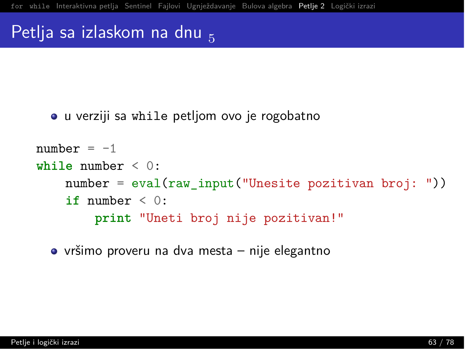#### Petlja sa izlaskom na dnu

• u verziji sa while petljom ovo je rogobatno

```
number = -1while number \leq 0:
    number = eval(raw input("Unesite pozitivan bro): ")if number \leq 0:
        print "Uneti broj nije pozitivan!"
```
 $\bullet$  vršimo proveru na dva mesta – nije elegantno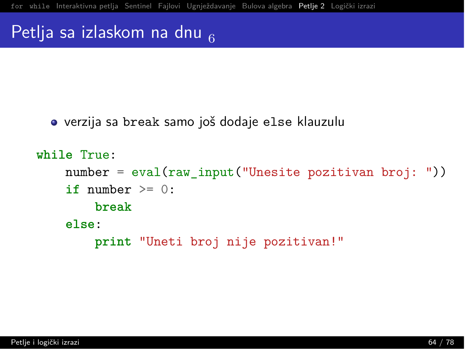#### Petlja sa izlaskom na dnu  $_{\rm g}$

 $\bullet$  verzija sa break samo još dodaje else klauzulu

```
while True:
    number = eval(raw input("Unesite pozitivan broj:"))if number \geq= 0:
        hreak
    else:
        print "Uneti broj nije pozitivan!"
```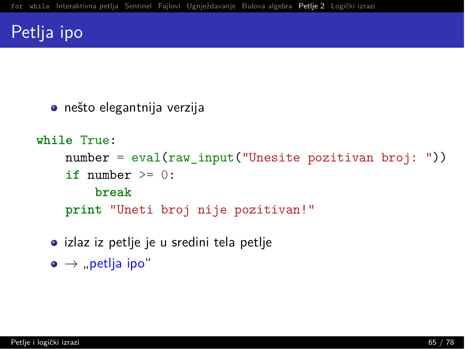## Petlja ipo

```
• nešto elegantnija verzija
```

```
while True:
```

```
number = eval(raw input("Unesite pozitivan broj:"))if number \geq 0:
    hreak
```
print "Uneti broj nije pozitivan!"

• izlaz iz petlje je u sredini tela petlje

```
\bullet \rightarrow "petlja ipo"
```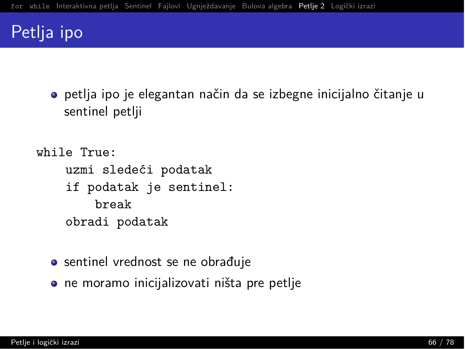### Petlja ipo

· petlja ipo je elegantan način da se izbegne inicijalno čitanje u sentinel petlji

```
while True:
    uzmi sledeći podatak
    if podatak je sentinel:
        break
    obradi podatak
```
- sentinel vrednost se ne obrađuje
- ne moramo inicijalizovati ništa pre petlje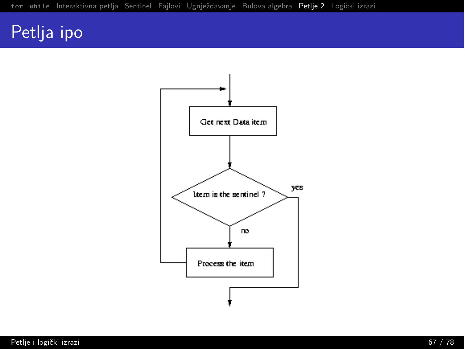# Petlja ipo

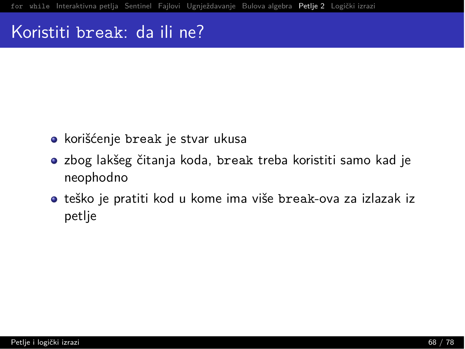#### Koristiti break: da ili ne?

- korišćenje break je stvar ukusa
- $\bullet$  zbog lakšeg čitanja koda, break treba koristiti samo kad je neophodno
- $\bullet$  teško je pratiti kod u kome ima više break-ova za izlazak iz petlie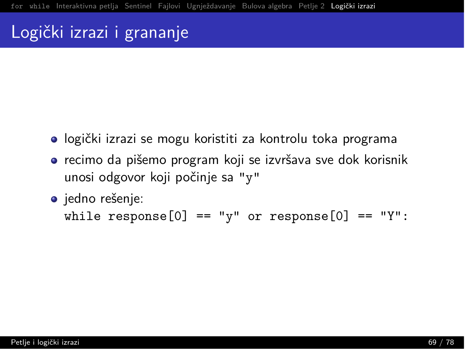## <span id="page-69-0"></span>Logički izrazi i grananje

- $\bullet$  logički izrazi se mogu koristiti za kontrolu toka programa
- $\bullet$  recimo da pišemo program koji se izvršava sve dok korisnik unosi odgovor koji počinje sa "y"
- o jedno rešenje: while response[0] == "y" or response[0] == "Y":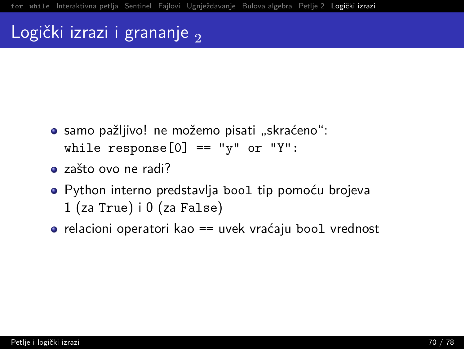## Logički izrazi i grananje,

- · samo pažljivo! ne možemo pisati "skraćeno": while response  $[0] == "y"$  or "Y":
- · zašto ovo ne radi?
- · Python interno predstavlia bool tip pomoću brojeva  $1$  (za True) i  $0$  (za False)
- $\bullet$  relacioni operatori kao == uvek vraćaju bool vrednost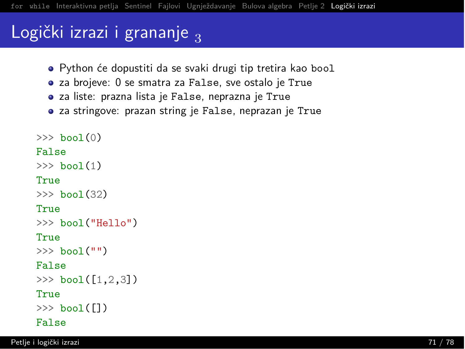## Logički izrazi i grananje  $\frac{1}{3}$

- · Python će dopustiti da se svaki drugi tip tretira kao bool
- za brojeve: 0 se smatra za False, sve ostalo je True
- $\bullet$  za liste: prazna lista je False, neprazna je True
- za stringove: prazan string je False, neprazan je True

```
\gg bool(0)
False
\gg bool(1)
True
\gg bool(32)
True
\gg bool("Hello")
True
\gg \frac{1}{2} \frac{1}{2} \frac{1}{2} \frac{1}{2} \frac{1}{2} \frac{1}{2} \frac{1}{2} \frac{1}{2} \frac{1}{2} \frac{1}{2} \frac{1}{2} \frac{1}{2} \frac{1}{2} \frac{1}{2} \frac{1}{2} \frac{1}{2} \frac{1}{2} \frac{1}{2} \frac{1}{2} \frac{1}{2} \frac{1}{2} \frac{1}{False
\gg bool([1, 2, 3])
True
\gg \frac{1}{2} \frac{1}{2}False
```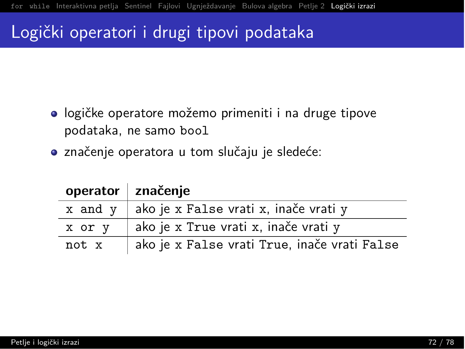## Logički operatori i drugi tipovi podataka

- logičke operatore možemo primeniti i na druge tipove podataka, ne samo bool
- · značenje operatora u tom slučaju je sledeće:

|         | operator značenje                            |
|---------|----------------------------------------------|
| x and y | ako je x False vrati x, inače vrati y        |
| x or y  | ako je x True vrati x, inače vrati y         |
| not x   | ako je x False vrati True, inače vrati False |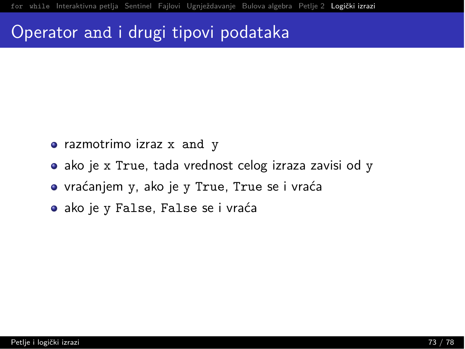### Operator and i drugi tipovi podataka

- razmotrimo izraz x and y
- ako je x True, tada vrednost celog izraza zavisi od y
- · vraćanjem y, ako je y True, True se i vraća
- · ako je y False, False se i vraća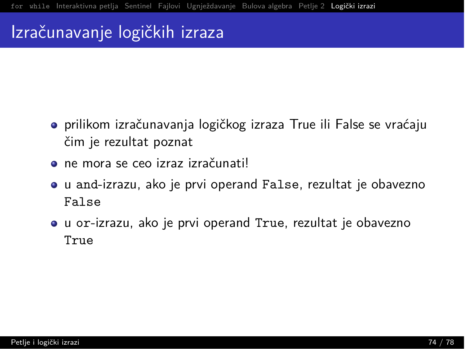# Izračunavanje logičkih izraza

- **•** prilikom izračunavanja logičkog izraza True ili False se vraćaju čim je rezultat poznat
- $\bullet$  ne mora se ceo izraz izračunatil
- $\bullet$  u and-izrazu, ako je prvi operand False, rezultat je obavezno False
- $\bullet$  u or-izrazu, ako je prvi operand True, rezultat je obavezno True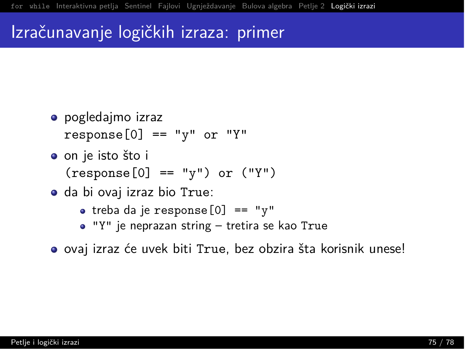### Izračunavanje logičkih izraza: primer

- pogledajmo izraz  $response[0] == "v"$  or "Y"
- o on je isto što i  $(response[0] == "v")$  or  $("Y")$
- · da bi ovaj izraz bio True:
	- treba da je response $[0]$  == "y"
	- $\bullet$  "Y" je neprazan string tretira se kao True
- $\bullet$  ovaj izraz će uvek biti True, bez obzira šta korisnik unese!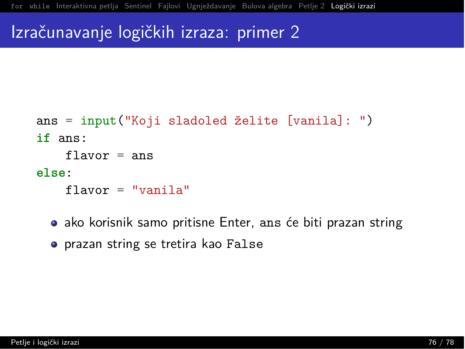### Izračunavanje logičkih izraza: primer 2

```
ans = input("Koji sladoleded želite [vanila]:")if ans:
    flavor = ans
else:
    flavor = "vanila"
```
• ako korisnik samo pritisne Enter, ans će biti prazan string

**•** prazan string se tretira kao False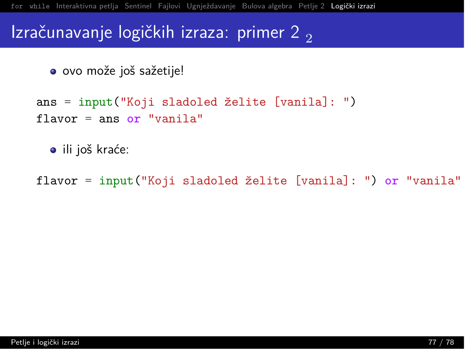#### Izračunavanje logičkih izraza: primer 2,

```
· ovo može još sažetije!
```

```
ans = input("Koji sladoled želite [vanila]: ")
flavor = ans or "vanila"
```

```
· ili još kraće:
```
flavor = input ("Koji sladoled želite [vanila]: ") or "vanila"